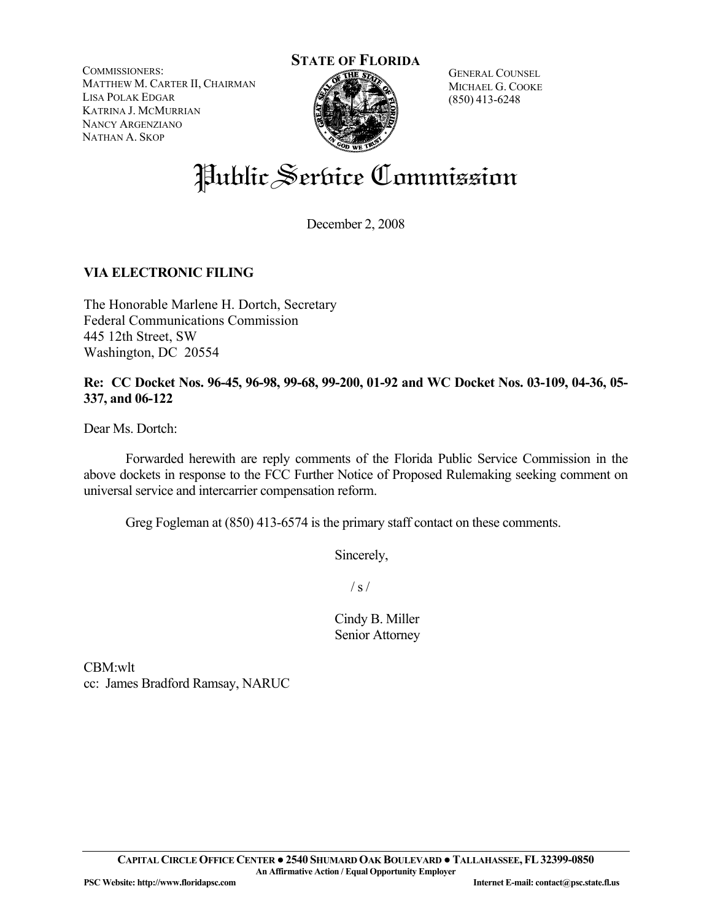COMMISSIONERS: MATTHEW M. CARTER II, CHAIRMAN LISA POLAK EDGAR KATRINA J. MCMURRIAN NANCY ARGENZIANO NATHAN A. SKOP



GENERAL COUNSEL MICHAEL G. COOKE (850) 413-6248

# Public Service Commission

December 2, 2008

#### **VIA ELECTRONIC FILING**

The Honorable Marlene H. Dortch, Secretary Federal Communications Commission 445 12th Street, SW Washington, DC 20554

**Re: CC Docket Nos. 96-45, 96-98, 99-68, 99-200, 01-92 and WC Docket Nos. 03-109, 04-36, 05- 337, and 06-122** 

Dear Ms. Dortch:

 Forwarded herewith are reply comments of the Florida Public Service Commission in the above dockets in response to the FCC Further Notice of Proposed Rulemaking seeking comment on universal service and intercarrier compensation reform.

Greg Fogleman at (850) 413-6574 is the primary staff contact on these comments.

Sincerely,

 $/ s /$ 

 Cindy B. Miller Senior Attorney

CBM:wlt cc: James Bradford Ramsay, NARUC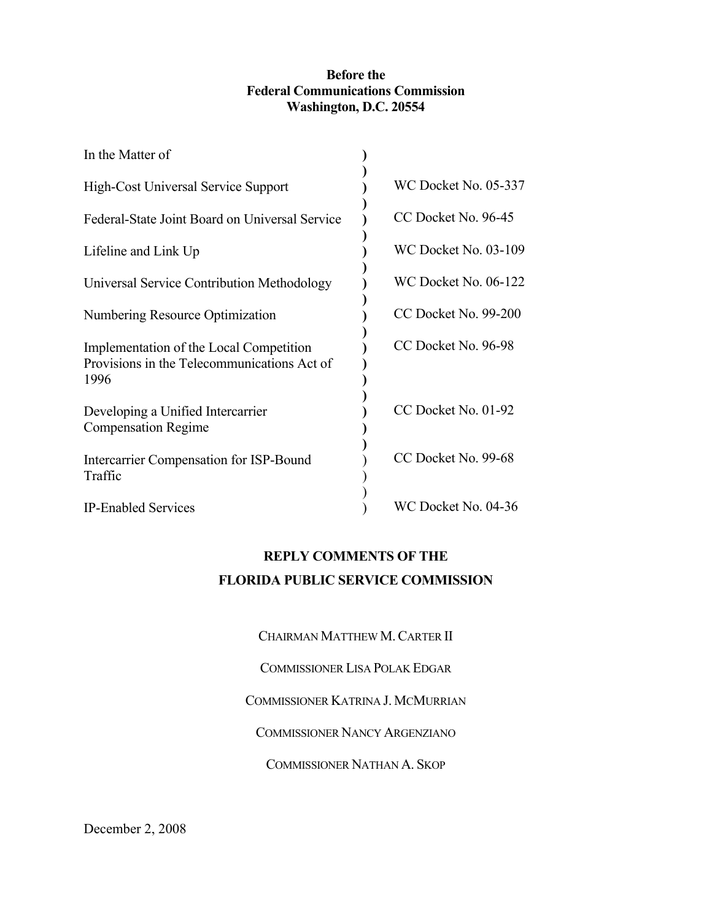#### **Before the Federal Communications Commission Washington, D.C. 20554**

| In the Matter of                                                                               |                             |
|------------------------------------------------------------------------------------------------|-----------------------------|
| High-Cost Universal Service Support                                                            | <b>WC Docket No. 05-337</b> |
| Federal-State Joint Board on Universal Service                                                 | CC Docket No. 96-45         |
| Lifeline and Link Up                                                                           | <b>WC Docket No. 03-109</b> |
| Universal Service Contribution Methodology                                                     | WC Docket No. 06-122        |
| Numbering Resource Optimization                                                                | CC Docket No. 99-200        |
| Implementation of the Local Competition<br>Provisions in the Telecommunications Act of<br>1996 | CC Docket No. 96-98         |
| Developing a Unified Intercarrier<br><b>Compensation Regime</b>                                | CC Docket No. 01-92         |
| Intercarrier Compensation for ISP-Bound<br>Traffic                                             | CC Docket No. 99-68         |
| <b>IP-Enabled Services</b>                                                                     | WC Docket No. 04-36         |

### **REPLY COMMENTS OF THE FLORIDA PUBLIC SERVICE COMMISSION**

CHAIRMAN MATTHEW M.CARTER II

COMMISSIONER LISA POLAK EDGAR

COMMISSIONER KATRINA J. MCMURRIAN

COMMISSIONER NANCY ARGENZIANO

COMMISSIONER NATHAN A. SKOP

December 2, 2008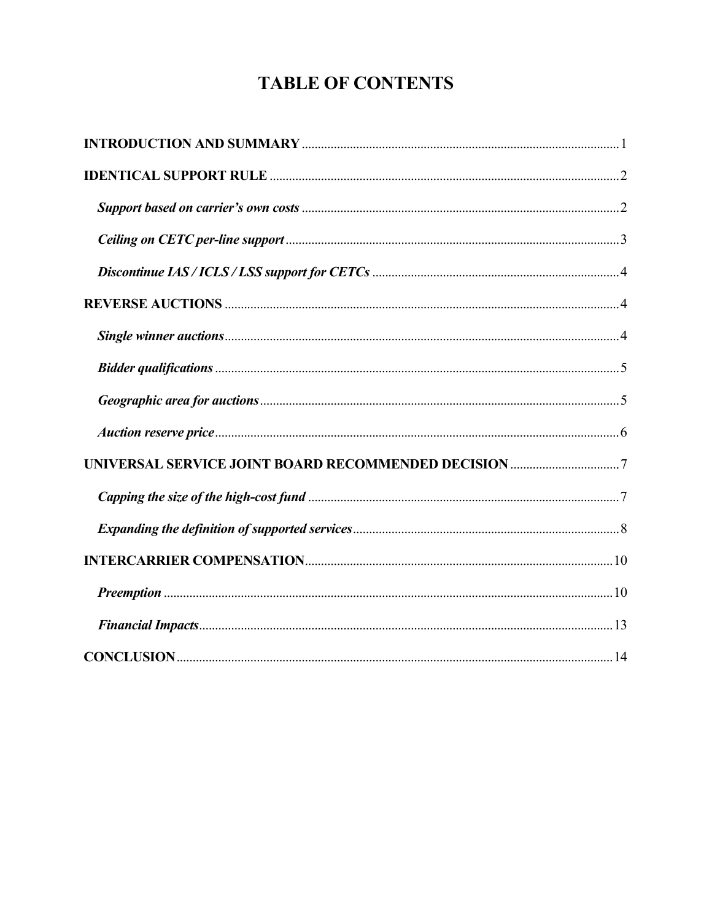## **TABLE OF CONTENTS**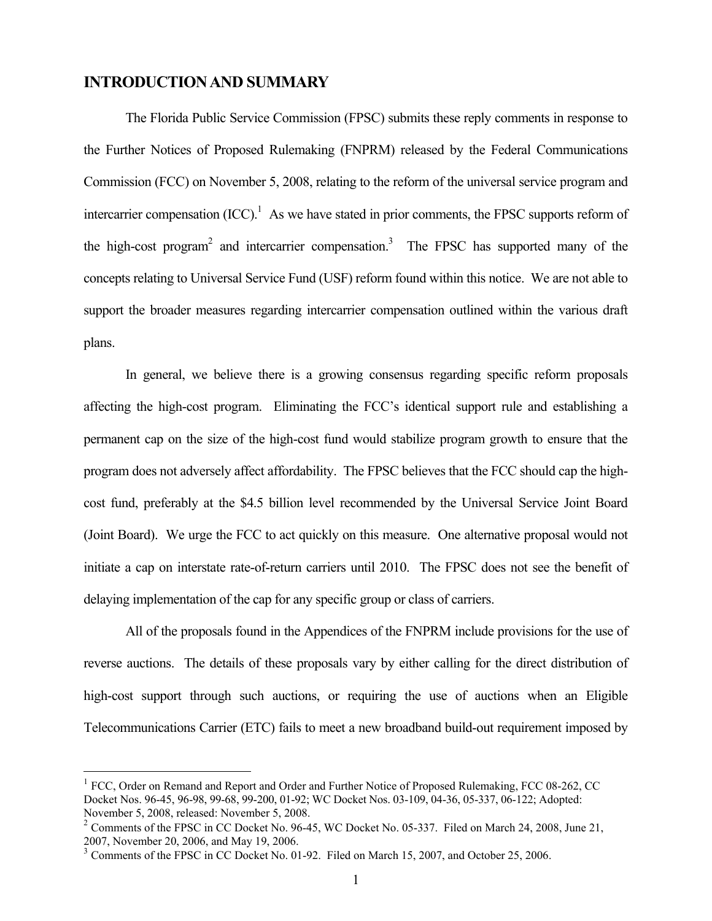#### **INTRODUCTION AND SUMMARY**

 The Florida Public Service Commission (FPSC) submits these reply comments in response to the Further Notices of Proposed Rulemaking (FNPRM) released by the Federal Communications Commission (FCC) on November 5, 2008, relating to the reform of the universal service program and intercarrier compensation  ${(ICC)}<sup>1</sup>$  As we have stated in prior comments, the FPSC supports reform of the high-cost program<sup>2</sup> and intercarrier compensation.<sup>3</sup> The FPSC has supported many of the concepts relating to Universal Service Fund (USF) reform found within this notice. We are not able to support the broader measures regarding intercarrier compensation outlined within the various draft plans.

 In general, we believe there is a growing consensus regarding specific reform proposals affecting the high-cost program. Eliminating the FCC's identical support rule and establishing a permanent cap on the size of the high-cost fund would stabilize program growth to ensure that the program does not adversely affect affordability. The FPSC believes that the FCC should cap the highcost fund, preferably at the \$4.5 billion level recommended by the Universal Service Joint Board (Joint Board). We urge the FCC to act quickly on this measure. One alternative proposal would not initiate a cap on interstate rate-of-return carriers until 2010. The FPSC does not see the benefit of delaying implementation of the cap for any specific group or class of carriers.

 All of the proposals found in the Appendices of the FNPRM include provisions for the use of reverse auctions. The details of these proposals vary by either calling for the direct distribution of high-cost support through such auctions, or requiring the use of auctions when an Eligible Telecommunications Carrier (ETC) fails to meet a new broadband build-out requirement imposed by

<sup>&</sup>lt;sup>1</sup> FCC, Order on Remand and Report and Order and Further Notice of Proposed Rulemaking, FCC 08-262, CC Docket Nos. 96-45, 96-98, 99-68, 99-200, 01-92; WC Docket Nos. 03-109, 04-36, 05-337, 06-122; Adopted: November 5, 2008, released: November 5, 2008.

 $2 \text{ Comments of the FPSC in CC Docket No. 96-45, WC Docket No. 05-337. Filed on March 24, 2008, June 21,$ 2007, November 20, 2006, and May 19, 2006.

<sup>&</sup>lt;sup>3</sup> Comments of the FPSC in CC Docket No. 01-92. Filed on March 15, 2007, and October 25, 2006.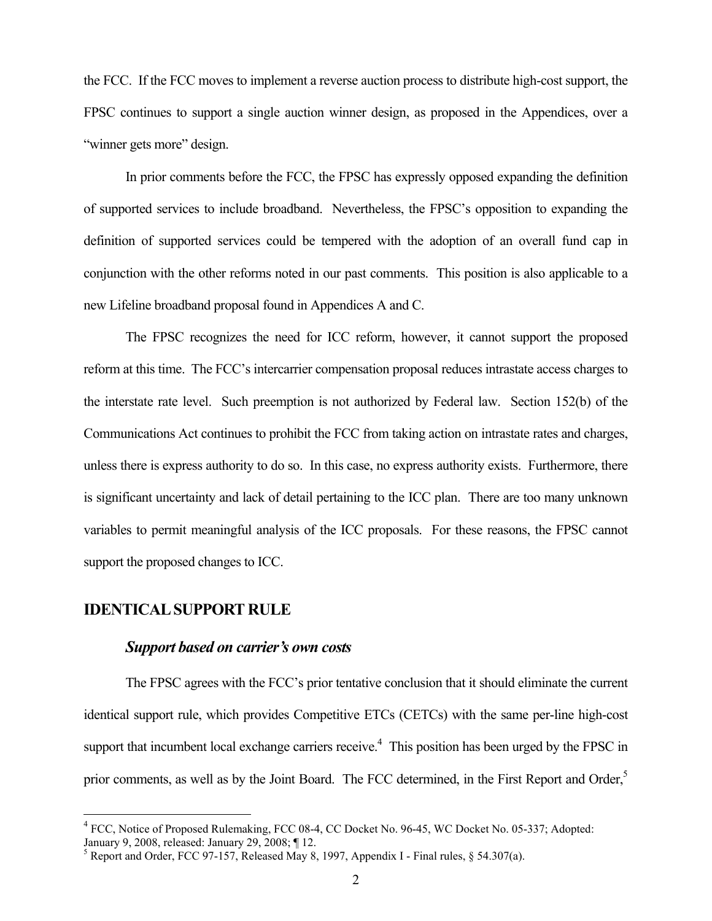the FCC. If the FCC moves to implement a reverse auction process to distribute high-cost support, the FPSC continues to support a single auction winner design, as proposed in the Appendices, over a "winner gets more" design.

In prior comments before the FCC, the FPSC has expressly opposed expanding the definition of supported services to include broadband. Nevertheless, the FPSC's opposition to expanding the definition of supported services could be tempered with the adoption of an overall fund cap in conjunction with the other reforms noted in our past comments. This position is also applicable to a new Lifeline broadband proposal found in Appendices A and C.

 The FPSC recognizes the need for ICC reform, however, it cannot support the proposed reform at this time. The FCC's intercarrier compensation proposal reduces intrastate access charges to the interstate rate level. Such preemption is not authorized by Federal law. Section 152(b) of the Communications Act continues to prohibit the FCC from taking action on intrastate rates and charges, unless there is express authority to do so. In this case, no express authority exists. Furthermore, there is significant uncertainty and lack of detail pertaining to the ICC plan. There are too many unknown variables to permit meaningful analysis of the ICC proposals. For these reasons, the FPSC cannot support the proposed changes to ICC.

#### **IDENTICAL SUPPORT RULE**

1

#### *Support based on carrier's own costs*

 The FPSC agrees with the FCC's prior tentative conclusion that it should eliminate the current identical support rule, which provides Competitive ETCs (CETCs) with the same per-line high-cost support that incumbent local exchange carriers receive.<sup>4</sup> This position has been urged by the FPSC in prior comments, as well as by the Joint Board. The FCC determined, in the First Report and Order,<sup>5</sup>

<sup>&</sup>lt;sup>4</sup> FCC, Notice of Proposed Rulemaking, FCC 08-4, CC Docket No. 96-45, WC Docket No. 05-337; Adopted: January 9, 2008, released: January 29, 2008; ¶ 12.

<sup>&</sup>lt;sup>5</sup> Report and Order, FCC 97-157, Released May 8, 1997, Appendix I - Final rules,  $\S$  54.307(a).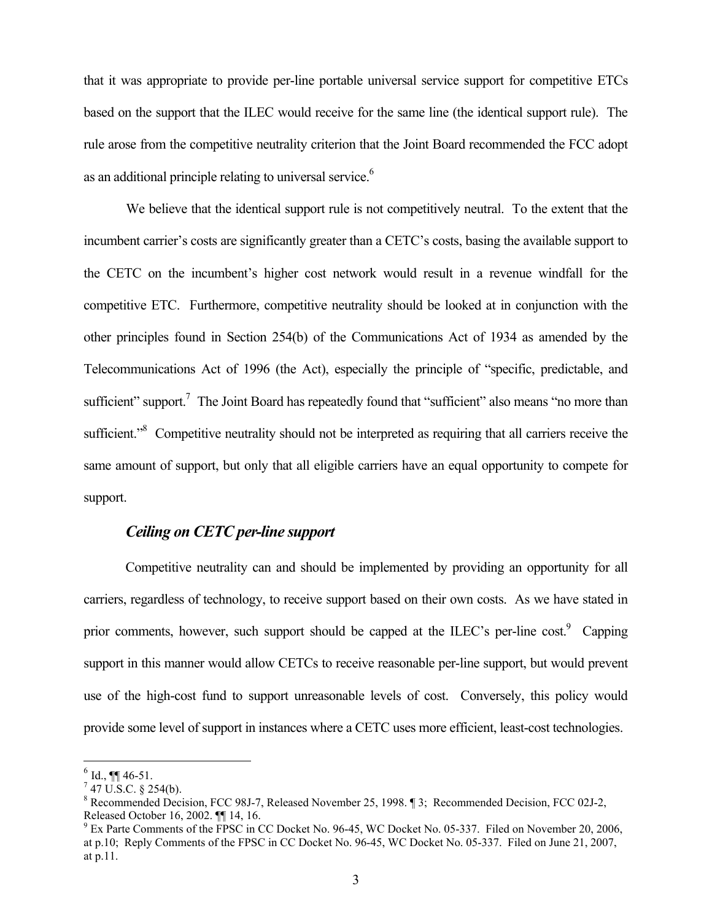that it was appropriate to provide per-line portable universal service support for competitive ETCs based on the support that the ILEC would receive for the same line (the identical support rule). The rule arose from the competitive neutrality criterion that the Joint Board recommended the FCC adopt as an additional principle relating to universal service.<sup>6</sup>

 We believe that the identical support rule is not competitively neutral. To the extent that the incumbent carrier's costs are significantly greater than a CETC's costs, basing the available support to the CETC on the incumbent's higher cost network would result in a revenue windfall for the competitive ETC. Furthermore, competitive neutrality should be looked at in conjunction with the other principles found in Section 254(b) of the Communications Act of 1934 as amended by the Telecommunications Act of 1996 (the Act), especially the principle of "specific, predictable, and sufficient" support.<sup>7</sup> The Joint Board has repeatedly found that "sufficient" also means "no more than sufficient."<sup>8</sup> Competitive neutrality should not be interpreted as requiring that all carriers receive the same amount of support, but only that all eligible carriers have an equal opportunity to compete for support.

#### *Ceiling on CETC per-line support*

 Competitive neutrality can and should be implemented by providing an opportunity for all carriers, regardless of technology, to receive support based on their own costs. As we have stated in prior comments, however, such support should be capped at the ILEC's per-line cost.<sup>9</sup> Capping support in this manner would allow CETCs to receive reasonable per-line support, but would prevent use of the high-cost fund to support unreasonable levels of cost. Conversely, this policy would provide some level of support in instances where a CETC uses more efficient, least-cost technologies.

 $6$  Id., **¶** 46-51.

 $7$  47 U.S.C. § 254(b).

<sup>&</sup>lt;sup>8</sup> Recommended Decision, FCC 98J-7, Released November 25, 1998. 13; Recommended Decision, FCC 02J-2, Released October 16, 2002. ¶¶ 14, 16.

 $9$  Ex Parte Comments of the FPSC in CC Docket No. 96-45, WC Docket No. 05-337. Filed on November 20, 2006, at p.10; Reply Comments of the FPSC in CC Docket No. 96-45, WC Docket No. 05-337. Filed on June 21, 2007, at p.11.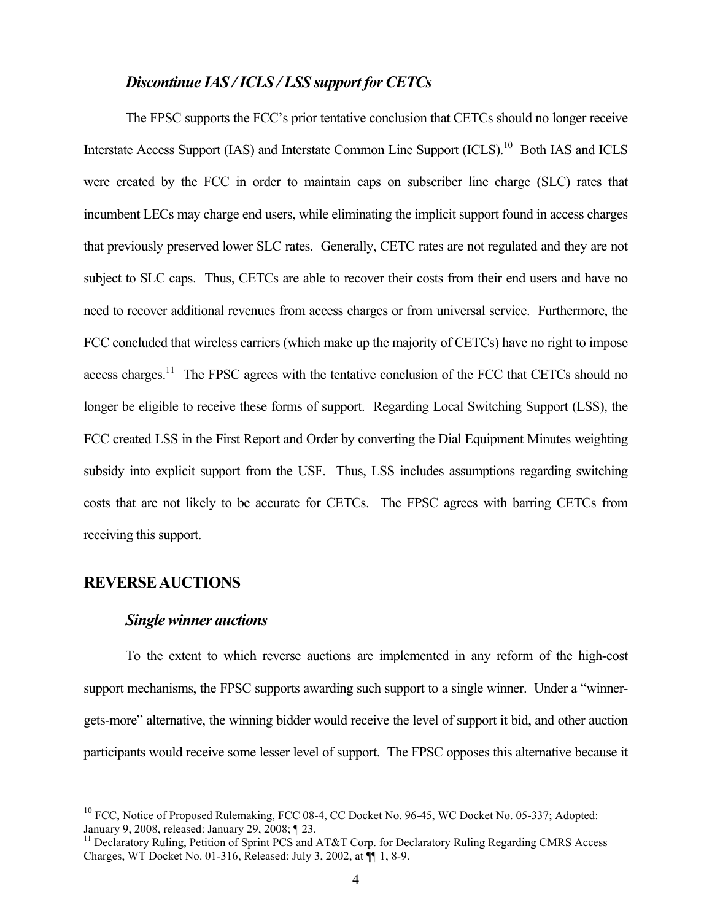#### *Discontinue IAS / ICLS / LSS support for CETCs*

 The FPSC supports the FCC's prior tentative conclusion that CETCs should no longer receive Interstate Access Support (IAS) and Interstate Common Line Support (ICLS).<sup>10</sup> Both IAS and ICLS were created by the FCC in order to maintain caps on subscriber line charge (SLC) rates that incumbent LECs may charge end users, while eliminating the implicit support found in access charges that previously preserved lower SLC rates. Generally, CETC rates are not regulated and they are not subject to SLC caps. Thus, CETCs are able to recover their costs from their end users and have no need to recover additional revenues from access charges or from universal service. Furthermore, the FCC concluded that wireless carriers (which make up the majority of CETCs) have no right to impose access charges.<sup>11</sup> The FPSC agrees with the tentative conclusion of the FCC that CETCs should no longer be eligible to receive these forms of support. Regarding Local Switching Support (LSS), the FCC created LSS in the First Report and Order by converting the Dial Equipment Minutes weighting subsidy into explicit support from the USF. Thus, LSS includes assumptions regarding switching costs that are not likely to be accurate for CETCs. The FPSC agrees with barring CETCs from receiving this support.

#### **REVERSE AUCTIONS**

1

#### *Single winner auctions*

 To the extent to which reverse auctions are implemented in any reform of the high-cost support mechanisms, the FPSC supports awarding such support to a single winner. Under a "winnergets-more" alternative, the winning bidder would receive the level of support it bid, and other auction participants would receive some lesser level of support. The FPSC opposes this alternative because it

<sup>&</sup>lt;sup>10</sup> FCC, Notice of Proposed Rulemaking, FCC 08-4, CC Docket No. 96-45, WC Docket No. 05-337; Adopted: January 9, 2008, released: January 29, 2008; ¶ 23.

<sup>&</sup>lt;sup>11</sup> Declaratory Ruling, Petition of Sprint PCS and AT&T Corp. for Declaratory Ruling Regarding CMRS Access Charges, WT Docket No. 01-316, Released: July 3, 2002, at ¶¶ 1, 8-9.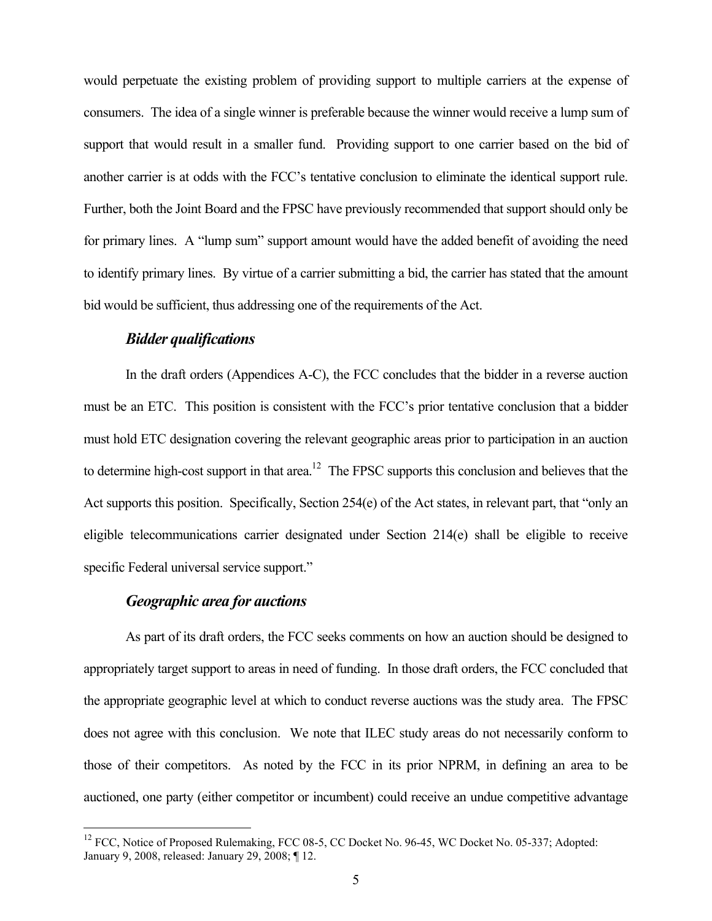would perpetuate the existing problem of providing support to multiple carriers at the expense of consumers. The idea of a single winner is preferable because the winner would receive a lump sum of support that would result in a smaller fund. Providing support to one carrier based on the bid of another carrier is at odds with the FCC's tentative conclusion to eliminate the identical support rule. Further, both the Joint Board and the FPSC have previously recommended that support should only be for primary lines. A "lump sum" support amount would have the added benefit of avoiding the need to identify primary lines. By virtue of a carrier submitting a bid, the carrier has stated that the amount bid would be sufficient, thus addressing one of the requirements of the Act.

#### *Bidder qualifications*

 In the draft orders (Appendices A-C), the FCC concludes that the bidder in a reverse auction must be an ETC. This position is consistent with the FCC's prior tentative conclusion that a bidder must hold ETC designation covering the relevant geographic areas prior to participation in an auction to determine high-cost support in that area.<sup>12</sup> The FPSC supports this conclusion and believes that the Act supports this position. Specifically, Section 254(e) of the Act states, in relevant part, that "only an eligible telecommunications carrier designated under Section 214(e) shall be eligible to receive specific Federal universal service support."

#### *Geographic area for auctions*

 $\overline{a}$ 

 As part of its draft orders, the FCC seeks comments on how an auction should be designed to appropriately target support to areas in need of funding. In those draft orders, the FCC concluded that the appropriate geographic level at which to conduct reverse auctions was the study area. The FPSC does not agree with this conclusion. We note that ILEC study areas do not necessarily conform to those of their competitors. As noted by the FCC in its prior NPRM, in defining an area to be auctioned, one party (either competitor or incumbent) could receive an undue competitive advantage

<sup>&</sup>lt;sup>12</sup> FCC, Notice of Proposed Rulemaking, FCC 08-5, CC Docket No. 96-45, WC Docket No. 05-337; Adopted: January 9, 2008, released: January 29, 2008; ¶ 12.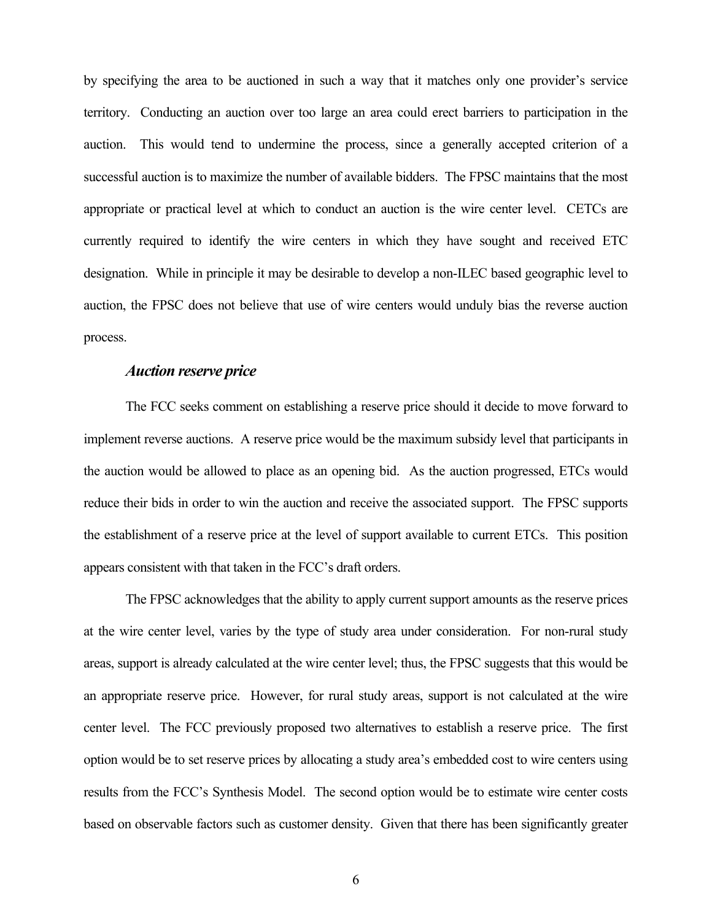by specifying the area to be auctioned in such a way that it matches only one provider's service territory. Conducting an auction over too large an area could erect barriers to participation in the auction. This would tend to undermine the process, since a generally accepted criterion of a successful auction is to maximize the number of available bidders. The FPSC maintains that the most appropriate or practical level at which to conduct an auction is the wire center level. CETCs are currently required to identify the wire centers in which they have sought and received ETC designation. While in principle it may be desirable to develop a non-ILEC based geographic level to auction, the FPSC does not believe that use of wire centers would unduly bias the reverse auction process.

#### *Auction reserve price*

 The FCC seeks comment on establishing a reserve price should it decide to move forward to implement reverse auctions. A reserve price would be the maximum subsidy level that participants in the auction would be allowed to place as an opening bid. As the auction progressed, ETCs would reduce their bids in order to win the auction and receive the associated support. The FPSC supports the establishment of a reserve price at the level of support available to current ETCs. This position appears consistent with that taken in the FCC's draft orders.

 The FPSC acknowledges that the ability to apply current support amounts as the reserve prices at the wire center level, varies by the type of study area under consideration. For non-rural study areas, support is already calculated at the wire center level; thus, the FPSC suggests that this would be an appropriate reserve price. However, for rural study areas, support is not calculated at the wire center level. The FCC previously proposed two alternatives to establish a reserve price. The first option would be to set reserve prices by allocating a study area's embedded cost to wire centers using results from the FCC's Synthesis Model. The second option would be to estimate wire center costs based on observable factors such as customer density. Given that there has been significantly greater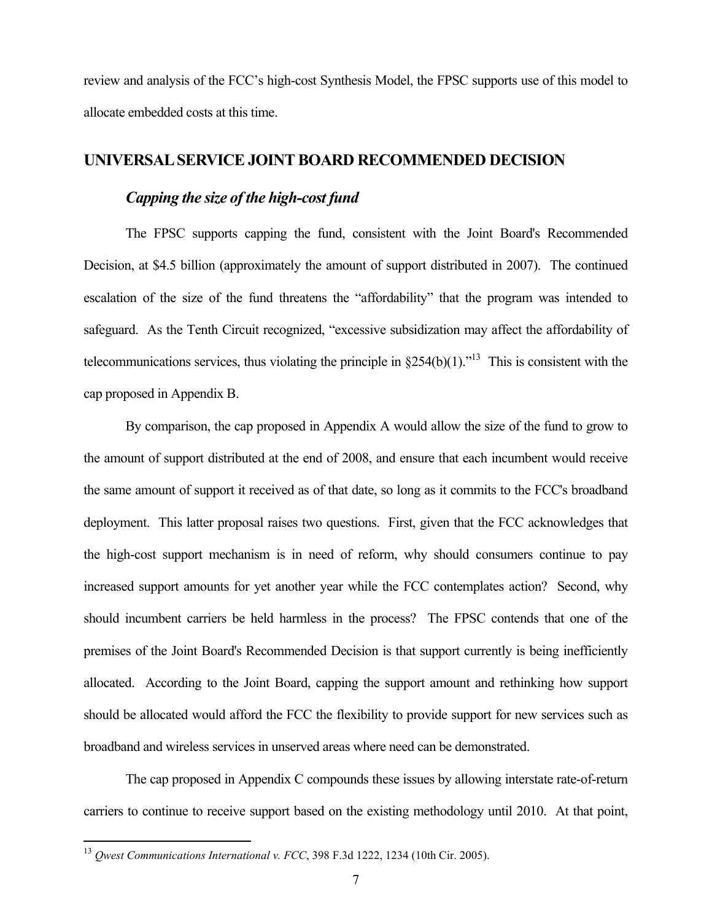review and analysis of the FCC's high-cost Synthesis Model, the FPSC supports use of this model to allocate embedded costs at this time.

#### **UNIVERSAL SERVICE JOINT BOARD RECOMMENDED DECISION**

#### *Capping the size of the high-cost fund*

 The FPSC supports capping the fund, consistent with the Joint Board's Recommended Decision, at \$4.5 billion (approximately the amount of support distributed in 2007). The continued escalation of the size of the fund threatens the "affordability" that the program was intended to safeguard. As the Tenth Circuit recognized, "excessive subsidization may affect the affordability of telecommunications services, thus violating the principle in  $§254(b)(1)$ .<sup> $13$ </sup> This is consistent with the cap proposed in Appendix B.

 By comparison, the cap proposed in Appendix A would allow the size of the fund to grow to the amount of support distributed at the end of 2008, and ensure that each incumbent would receive the same amount of support it received as of that date, so long as it commits to the FCC's broadband deployment. This latter proposal raises two questions. First, given that the FCC acknowledges that the high-cost support mechanism is in need of reform, why should consumers continue to pay increased support amounts for yet another year while the FCC contemplates action? Second, why should incumbent carriers be held harmless in the process? The FPSC contends that one of the premises of the Joint Board's Recommended Decision is that support currently is being inefficiently allocated. According to the Joint Board, capping the support amount and rethinking how support should be allocated would afford the FCC the flexibility to provide support for new services such as broadband and wireless services in unserved areas where need can be demonstrated.

 The cap proposed in Appendix C compounds these issues by allowing interstate rate-of-return carriers to continue to receive support based on the existing methodology until 2010. At that point,

<sup>13</sup> *Qwest Communications International v. FCC*, 398 F.3d 1222, 1234 (10th Cir. 2005).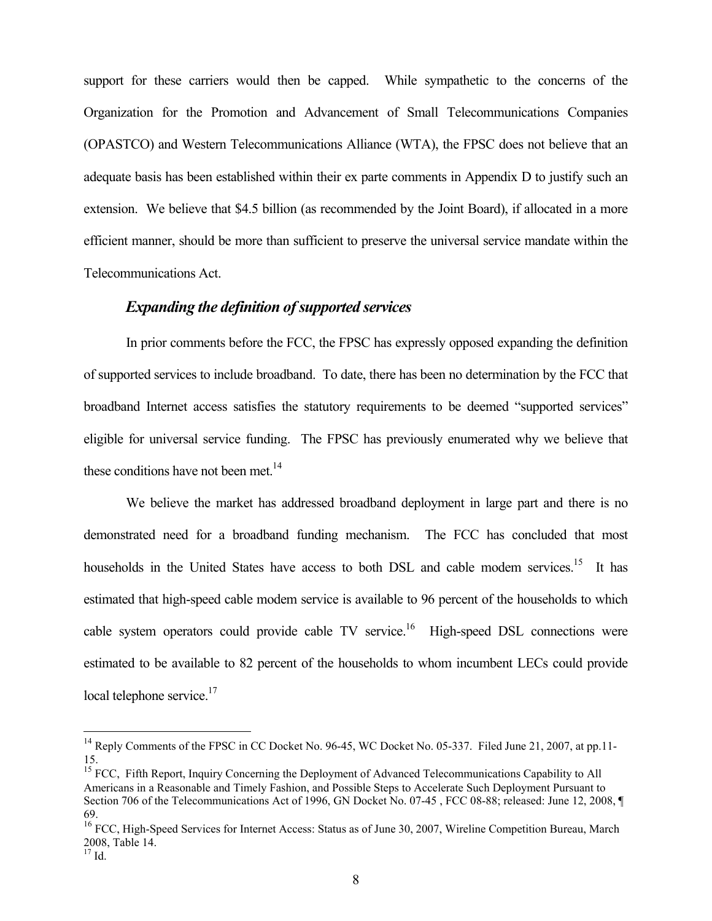support for these carriers would then be capped. While sympathetic to the concerns of the Organization for the Promotion and Advancement of Small Telecommunications Companies (OPASTCO) and Western Telecommunications Alliance (WTA), the FPSC does not believe that an adequate basis has been established within their ex parte comments in Appendix D to justify such an extension. We believe that \$4.5 billion (as recommended by the Joint Board), if allocated in a more efficient manner, should be more than sufficient to preserve the universal service mandate within the Telecommunications Act.

#### *Expanding the definition of supported services*

 In prior comments before the FCC, the FPSC has expressly opposed expanding the definition of supported services to include broadband. To date, there has been no determination by the FCC that broadband Internet access satisfies the statutory requirements to be deemed "supported services" eligible for universal service funding. The FPSC has previously enumerated why we believe that these conditions have not been met. $14$ 

We believe the market has addressed broadband deployment in large part and there is no demonstrated need for a broadband funding mechanism. The FCC has concluded that most households in the United States have access to both DSL and cable modem services.<sup>15</sup> It has estimated that high-speed cable modem service is available to 96 percent of the households to which cable system operators could provide cable TV service.<sup>16</sup> High-speed DSL connections were estimated to be available to 82 percent of the households to whom incumbent LECs could provide local telephone service.<sup>17</sup>

1

<sup>&</sup>lt;sup>14</sup> Reply Comments of the FPSC in CC Docket No. 96-45, WC Docket No. 05-337. Filed June 21, 2007, at pp.11-15.

<sup>&</sup>lt;sup>15</sup> FCC, Fifth Report, Inquiry Concerning the Deployment of Advanced Telecommunications Capability to All Americans in a Reasonable and Timely Fashion, and Possible Steps to Accelerate Such Deployment Pursuant to Section 706 of the Telecommunications Act of 1996, GN Docket No. 07-45 , FCC 08-88; released: June 12, 2008, ¶ 69.

<sup>&</sup>lt;sup>16</sup> FCC, High-Speed Services for Internet Access: Status as of June 30, 2007, Wireline Competition Bureau, March 2008, Table 14.

 $17$  Id.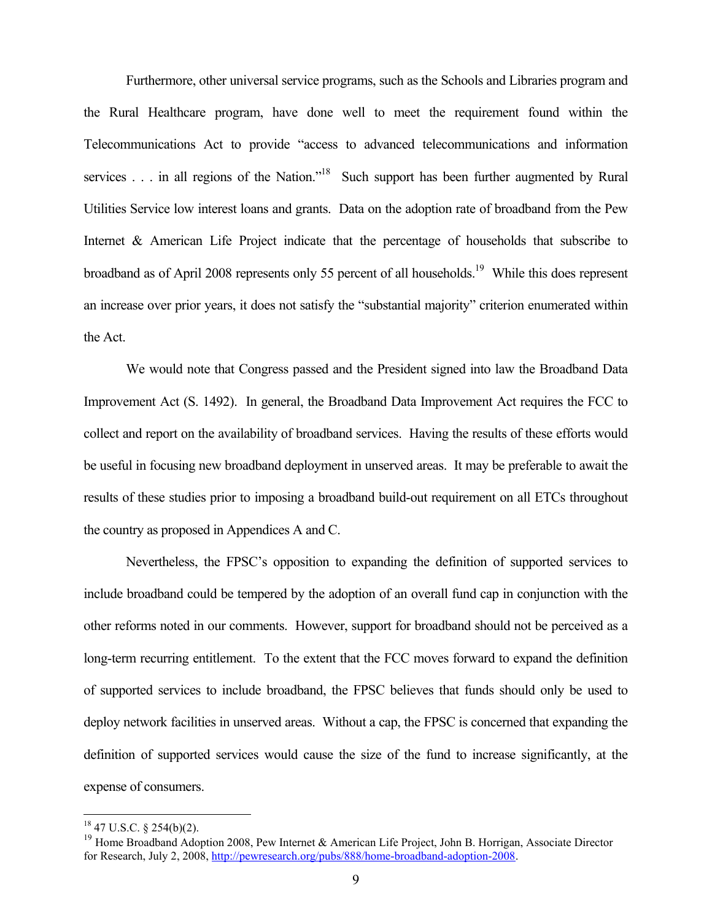Furthermore, other universal service programs, such as the Schools and Libraries program and the Rural Healthcare program, have done well to meet the requirement found within the Telecommunications Act to provide "access to advanced telecommunications and information services . . . in all regions of the Nation."<sup>18</sup> Such support has been further augmented by Rural Utilities Service low interest loans and grants. Data on the adoption rate of broadband from the Pew Internet & American Life Project indicate that the percentage of households that subscribe to broadband as of April 2008 represents only 55 percent of all households.<sup>19</sup> While this does represent an increase over prior years, it does not satisfy the "substantial majority" criterion enumerated within the Act.

 We would note that Congress passed and the President signed into law the Broadband Data Improvement Act (S. 1492). In general, the Broadband Data Improvement Act requires the FCC to collect and report on the availability of broadband services. Having the results of these efforts would be useful in focusing new broadband deployment in unserved areas. It may be preferable to await the results of these studies prior to imposing a broadband build-out requirement on all ETCs throughout the country as proposed in Appendices A and C.

 Nevertheless, the FPSC's opposition to expanding the definition of supported services to include broadband could be tempered by the adoption of an overall fund cap in conjunction with the other reforms noted in our comments. However, support for broadband should not be perceived as a long-term recurring entitlement. To the extent that the FCC moves forward to expand the definition of supported services to include broadband, the FPSC believes that funds should only be used to deploy network facilities in unserved areas. Without a cap, the FPSC is concerned that expanding the definition of supported services would cause the size of the fund to increase significantly, at the expense of consumers.

 $18$  47 U.S.C. § 254(b)(2).

<sup>&</sup>lt;sup>19</sup> Home Broadband Adoption 2008, Pew Internet & American Life Project, John B. Horrigan, Associate Director for Research, July 2, 2008, http://pewresearch.org/pubs/888/home-broadband-adoption-2008.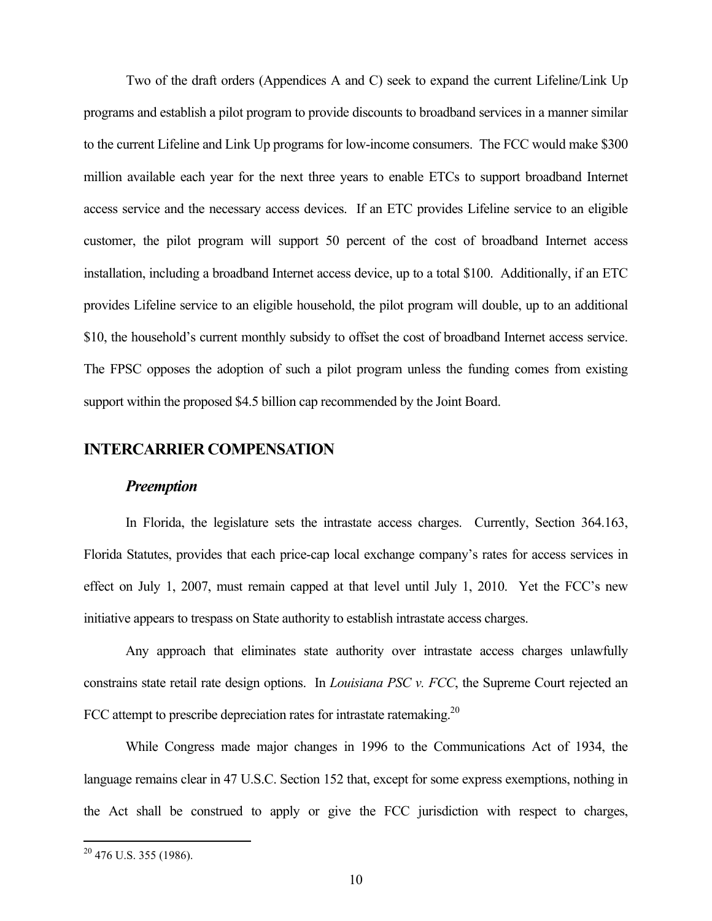Two of the draft orders (Appendices A and C) seek to expand the current Lifeline/Link Up programs and establish a pilot program to provide discounts to broadband services in a manner similar to the current Lifeline and Link Up programs for low-income consumers. The FCC would make \$300 million available each year for the next three years to enable ETCs to support broadband Internet access service and the necessary access devices. If an ETC provides Lifeline service to an eligible customer, the pilot program will support 50 percent of the cost of broadband Internet access installation, including a broadband Internet access device, up to a total \$100. Additionally, if an ETC provides Lifeline service to an eligible household, the pilot program will double, up to an additional \$10, the household's current monthly subsidy to offset the cost of broadband Internet access service. The FPSC opposes the adoption of such a pilot program unless the funding comes from existing support within the proposed \$4.5 billion cap recommended by the Joint Board.

#### **INTERCARRIER COMPENSATION**

#### *Preemption*

 In Florida, the legislature sets the intrastate access charges. Currently, Section 364.163, Florida Statutes, provides that each price-cap local exchange company's rates for access services in effect on July 1, 2007, must remain capped at that level until July 1, 2010. Yet the FCC's new initiative appears to trespass on State authority to establish intrastate access charges.

 Any approach that eliminates state authority over intrastate access charges unlawfully constrains state retail rate design options. In *Louisiana PSC v. FCC*, the Supreme Court rejected an FCC attempt to prescribe depreciation rates for intrastate ratemaking.<sup>20</sup>

 While Congress made major changes in 1996 to the Communications Act of 1934, the language remains clear in 47 U.S.C. Section 152 that, except for some express exemptions, nothing in the Act shall be construed to apply or give the FCC jurisdiction with respect to charges,

 $20$  476 U.S. 355 (1986).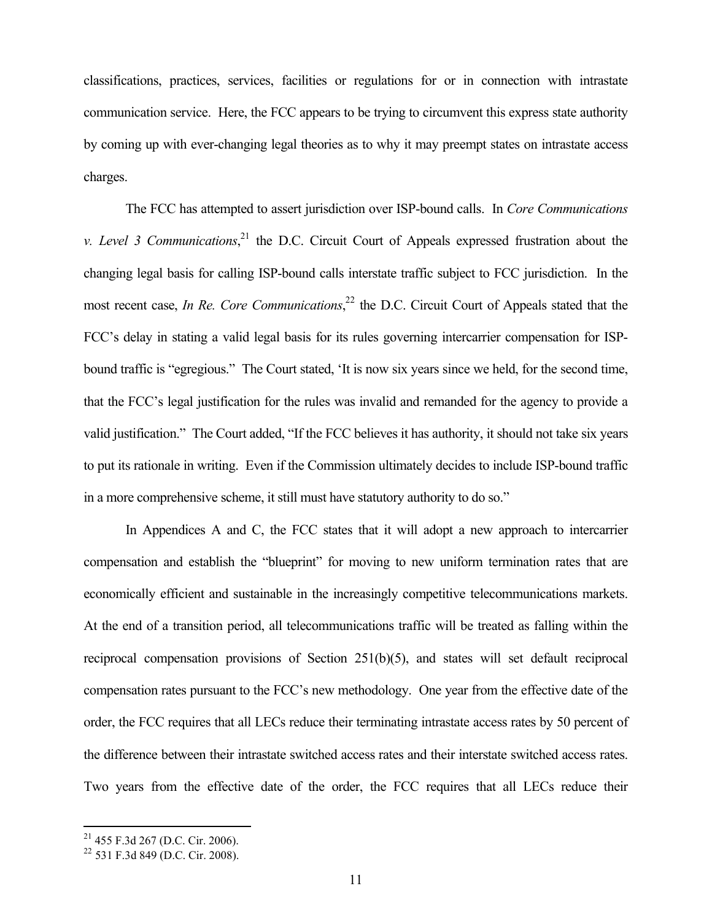classifications, practices, services, facilities or regulations for or in connection with intrastate communication service. Here, the FCC appears to be trying to circumvent this express state authority by coming up with ever-changing legal theories as to why it may preempt states on intrastate access charges.

 The FCC has attempted to assert jurisdiction over ISP-bound calls. In *Core Communications v. Level 3 Communications*, 21 the D.C. Circuit Court of Appeals expressed frustration about the changing legal basis for calling ISP-bound calls interstate traffic subject to FCC jurisdiction. In the most recent case, *In Re. Core Communications*, 22 the D.C. Circuit Court of Appeals stated that the FCC's delay in stating a valid legal basis for its rules governing intercarrier compensation for ISPbound traffic is "egregious." The Court stated, 'It is now six years since we held, for the second time, that the FCC's legal justification for the rules was invalid and remanded for the agency to provide a valid justification." The Court added, "If the FCC believes it has authority, it should not take six years to put its rationale in writing. Even if the Commission ultimately decides to include ISP-bound traffic in a more comprehensive scheme, it still must have statutory authority to do so."

 In Appendices A and C, the FCC states that it will adopt a new approach to intercarrier compensation and establish the "blueprint" for moving to new uniform termination rates that are economically efficient and sustainable in the increasingly competitive telecommunications markets. At the end of a transition period, all telecommunications traffic will be treated as falling within the reciprocal compensation provisions of Section 251(b)(5), and states will set default reciprocal compensation rates pursuant to the FCC's new methodology. One year from the effective date of the order, the FCC requires that all LECs reduce their terminating intrastate access rates by 50 percent of the difference between their intrastate switched access rates and their interstate switched access rates. Two years from the effective date of the order, the FCC requires that all LECs reduce their

 $21$  455 F.3d 267 (D.C. Cir. 2006).

<sup>&</sup>lt;sup>22</sup> 531 F.3d 849 (D.C. Cir. 2008).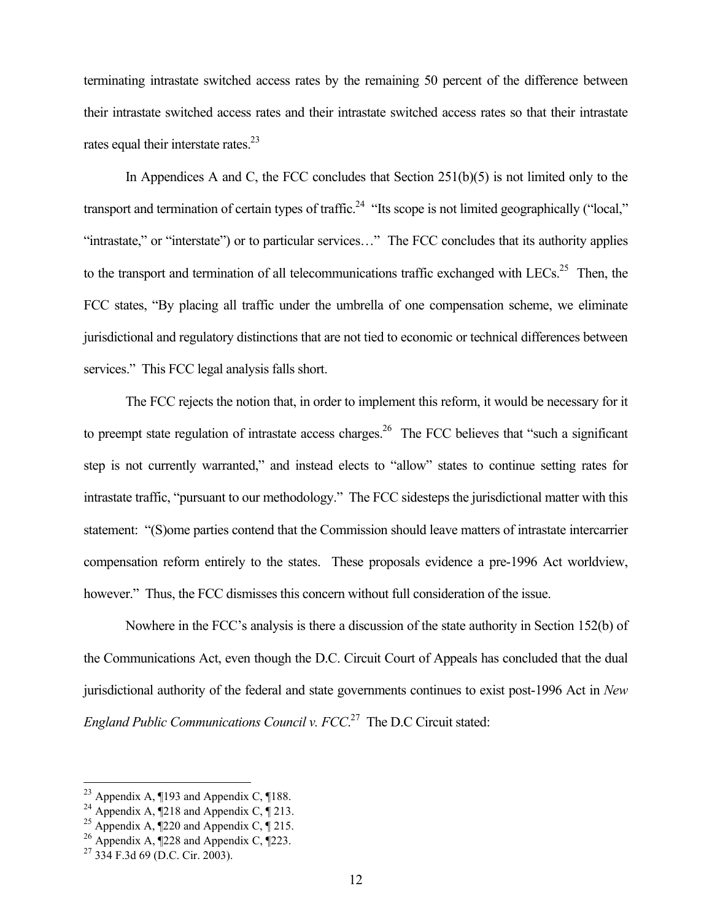terminating intrastate switched access rates by the remaining 50 percent of the difference between their intrastate switched access rates and their intrastate switched access rates so that their intrastate rates equal their interstate rates. $^{23}$ 

In Appendices A and C, the FCC concludes that Section 251(b)(5) is not limited only to the transport and termination of certain types of traffic.<sup>24</sup> "Its scope is not limited geographically ("local," "intrastate," or "interstate") or to particular services…" The FCC concludes that its authority applies to the transport and termination of all telecommunications traffic exchanged with LECs.<sup>25</sup> Then, the FCC states, "By placing all traffic under the umbrella of one compensation scheme, we eliminate jurisdictional and regulatory distinctions that are not tied to economic or technical differences between services." This FCC legal analysis falls short.

 The FCC rejects the notion that, in order to implement this reform, it would be necessary for it to preempt state regulation of intrastate access charges.<sup>26</sup> The FCC believes that "such a significant" step is not currently warranted," and instead elects to "allow" states to continue setting rates for intrastate traffic, "pursuant to our methodology." The FCC sidesteps the jurisdictional matter with this statement: "(S)ome parties contend that the Commission should leave matters of intrastate intercarrier compensation reform entirely to the states. These proposals evidence a pre-1996 Act worldview, however." Thus, the FCC dismisses this concern without full consideration of the issue.

 Nowhere in the FCC's analysis is there a discussion of the state authority in Section 152(b) of the Communications Act, even though the D.C. Circuit Court of Appeals has concluded that the dual jurisdictional authority of the federal and state governments continues to exist post-1996 Act in *New England Public Communications Council v. FCC*. 27 The D.C Circuit stated:

<sup>&</sup>lt;sup>23</sup> Appendix A,  $\P$ 193 and Appendix C,  $\P$ 188.

<sup>&</sup>lt;sup>24</sup> Appendix A,  $\sqrt{218}$  and Appendix C,  $\sqrt{213}$ .

<sup>&</sup>lt;sup>25</sup> Appendix A,  $\sqrt{220}$  and Appendix C,  $\sqrt{215}$ .

<sup>&</sup>lt;sup>26</sup> Appendix A,  $\sqrt{228}$  and Appendix C,  $\sqrt{223}$ .

<sup>27 334</sup> F.3d 69 (D.C. Cir. 2003).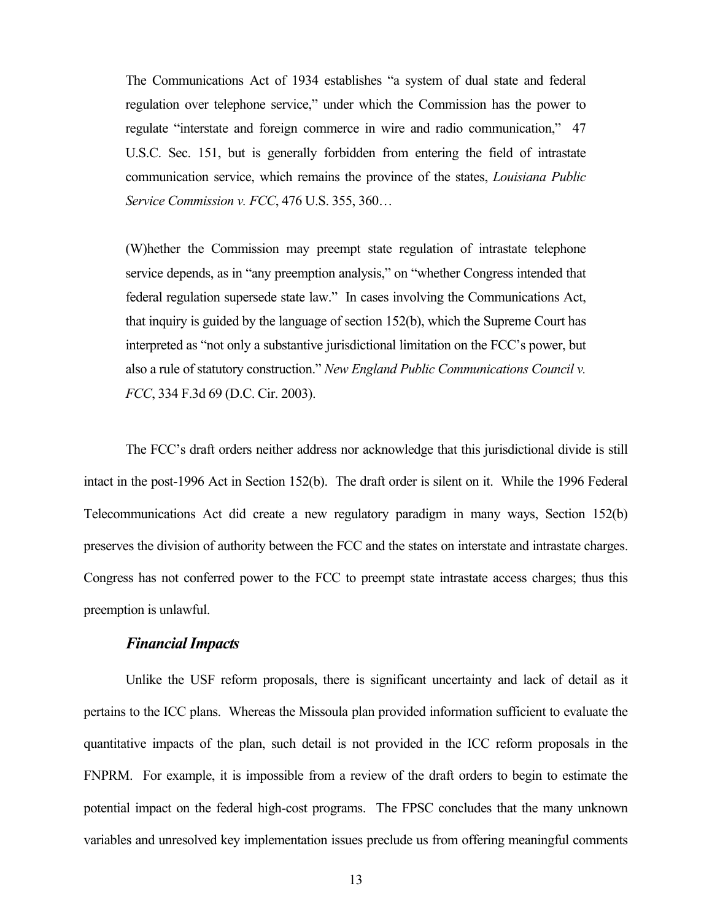The Communications Act of 1934 establishes "a system of dual state and federal regulation over telephone service," under which the Commission has the power to regulate "interstate and foreign commerce in wire and radio communication," 47 U.S.C. Sec. 151, but is generally forbidden from entering the field of intrastate communication service, which remains the province of the states, *Louisiana Public Service Commission v. FCC*, 476 U.S. 355, 360…

(W)hether the Commission may preempt state regulation of intrastate telephone service depends, as in "any preemption analysis," on "whether Congress intended that federal regulation supersede state law." In cases involving the Communications Act, that inquiry is guided by the language of section 152(b), which the Supreme Court has interpreted as "not only a substantive jurisdictional limitation on the FCC's power, but also a rule of statutory construction." *New England Public Communications Council v. FCC*, 334 F.3d 69 (D.C. Cir. 2003).

 The FCC's draft orders neither address nor acknowledge that this jurisdictional divide is still intact in the post-1996 Act in Section 152(b). The draft order is silent on it. While the 1996 Federal Telecommunications Act did create a new regulatory paradigm in many ways, Section 152(b) preserves the division of authority between the FCC and the states on interstate and intrastate charges. Congress has not conferred power to the FCC to preempt state intrastate access charges; thus this preemption is unlawful.

#### *Financial Impacts*

 Unlike the USF reform proposals, there is significant uncertainty and lack of detail as it pertains to the ICC plans. Whereas the Missoula plan provided information sufficient to evaluate the quantitative impacts of the plan, such detail is not provided in the ICC reform proposals in the FNPRM. For example, it is impossible from a review of the draft orders to begin to estimate the potential impact on the federal high-cost programs. The FPSC concludes that the many unknown variables and unresolved key implementation issues preclude us from offering meaningful comments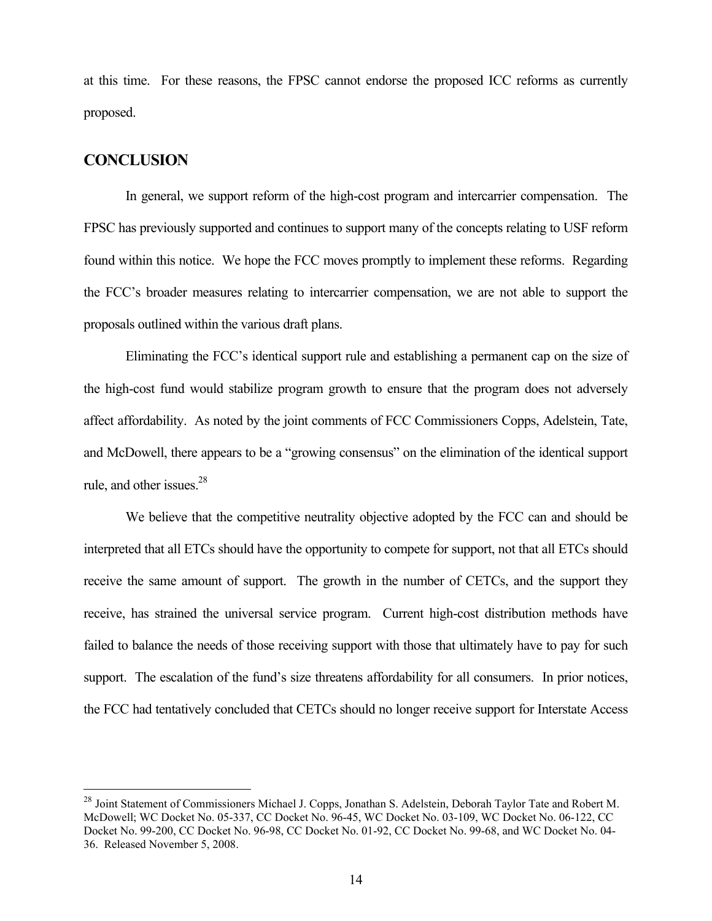at this time. For these reasons, the FPSC cannot endorse the proposed ICC reforms as currently proposed.

#### **CONCLUSION**

 $\overline{a}$ 

 In general, we support reform of the high-cost program and intercarrier compensation. The FPSC has previously supported and continues to support many of the concepts relating to USF reform found within this notice. We hope the FCC moves promptly to implement these reforms. Regarding the FCC's broader measures relating to intercarrier compensation, we are not able to support the proposals outlined within the various draft plans.

 Eliminating the FCC's identical support rule and establishing a permanent cap on the size of the high-cost fund would stabilize program growth to ensure that the program does not adversely affect affordability. As noted by the joint comments of FCC Commissioners Copps, Adelstein, Tate, and McDowell, there appears to be a "growing consensus" on the elimination of the identical support rule, and other issues.<sup>28</sup>

We believe that the competitive neutrality objective adopted by the FCC can and should be interpreted that all ETCs should have the opportunity to compete for support, not that all ETCs should receive the same amount of support. The growth in the number of CETCs, and the support they receive, has strained the universal service program. Current high-cost distribution methods have failed to balance the needs of those receiving support with those that ultimately have to pay for such support. The escalation of the fund's size threatens affordability for all consumers. In prior notices, the FCC had tentatively concluded that CETCs should no longer receive support for Interstate Access

<sup>&</sup>lt;sup>28</sup> Joint Statement of Commissioners Michael J. Copps, Jonathan S. Adelstein, Deborah Taylor Tate and Robert M. McDowell; WC Docket No. 05-337, CC Docket No. 96-45, WC Docket No. 03-109, WC Docket No. 06-122, CC Docket No. 99-200, CC Docket No. 96-98, CC Docket No. 01-92, CC Docket No. 99-68, and WC Docket No. 04- 36. Released November 5, 2008.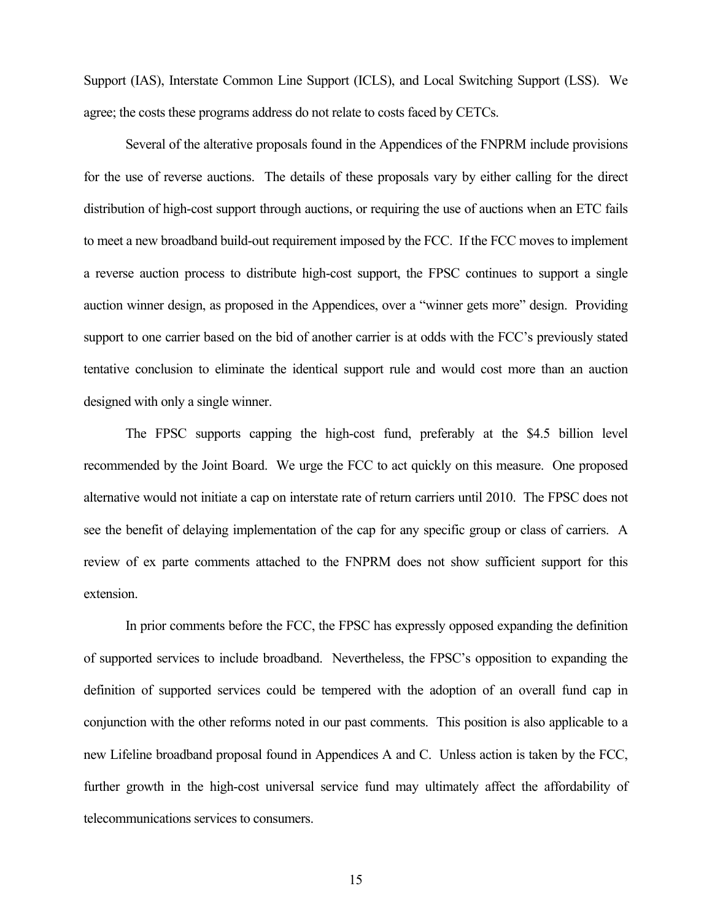Support (IAS), Interstate Common Line Support (ICLS), and Local Switching Support (LSS). We agree; the costs these programs address do not relate to costs faced by CETCs.

 Several of the alterative proposals found in the Appendices of the FNPRM include provisions for the use of reverse auctions. The details of these proposals vary by either calling for the direct distribution of high-cost support through auctions, or requiring the use of auctions when an ETC fails to meet a new broadband build-out requirement imposed by the FCC. If the FCC moves to implement a reverse auction process to distribute high-cost support, the FPSC continues to support a single auction winner design, as proposed in the Appendices, over a "winner gets more" design. Providing support to one carrier based on the bid of another carrier is at odds with the FCC's previously stated tentative conclusion to eliminate the identical support rule and would cost more than an auction designed with only a single winner.

 The FPSC supports capping the high-cost fund, preferably at the \$4.5 billion level recommended by the Joint Board. We urge the FCC to act quickly on this measure. One proposed alternative would not initiate a cap on interstate rate of return carriers until 2010. The FPSC does not see the benefit of delaying implementation of the cap for any specific group or class of carriers. A review of ex parte comments attached to the FNPRM does not show sufficient support for this extension.

In prior comments before the FCC, the FPSC has expressly opposed expanding the definition of supported services to include broadband. Nevertheless, the FPSC's opposition to expanding the definition of supported services could be tempered with the adoption of an overall fund cap in conjunction with the other reforms noted in our past comments. This position is also applicable to a new Lifeline broadband proposal found in Appendices A and C. Unless action is taken by the FCC, further growth in the high-cost universal service fund may ultimately affect the affordability of telecommunications services to consumers.

15